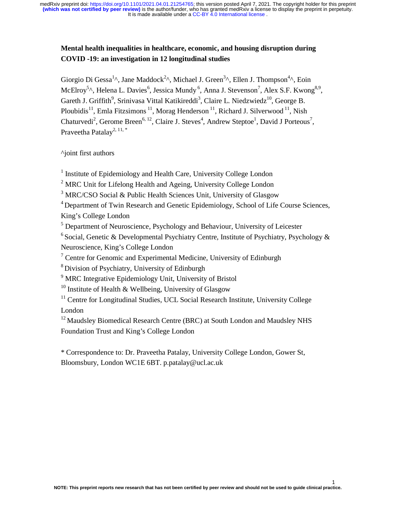## **Mental health inequalities in healthcare, economic, and housing disruption during COVID -19: an investigation in 12 longitudinal studies**

Giorgio Di Gessa<sup>1</sup>^, Jane Maddock<sup>2</sup>^, Michael J. Green<sup>3</sup>^, Ellen J. Thompson<sup>4</sup>^, Eoin McElroy<sup>5</sup>^, Helena L. Davies<sup>6</sup>, Jessica Mundy<sup>6</sup>, Anna J. Stevenson<sup>7</sup>, Alex S.F. Kwong<sup>8,9</sup>, Gareth J. Griffith<sup>9</sup>, Srinivasa Vittal Katikireddi<sup>3</sup>, Claire L. Niedzwiedz<sup>10</sup>, George B. Ploubidis<sup>11</sup>, Emla Fitzsimons<sup>11</sup>, Morag Henderson<sup>11</sup>, Richard J. Silverwood<sup>11</sup>, Nish Chaturvedi<sup>2</sup>, Gerome Breen<sup>6, 12</sup>, Claire J. Steves<sup>4</sup>, Andrew Steptoe<sup>1</sup>, David J Porteous<sup>7</sup>, Praveetha Patalay<sup>2, 11, \*</sup>

^joint first authors

<sup>1</sup> Institute of Epidemiology and Health Care, University College London

<sup>2</sup> MRC Unit for Lifelong Health and Ageing, University College London

<sup>3</sup> MRC/CSO Social & Public Health Sciences Unit, University of Glasgow

<sup>4</sup> Department of Twin Research and Genetic Epidemiology, School of Life Course Sciences, King's College London

<sup>5</sup> Department of Neuroscience, Psychology and Behaviour, University of Leicester

<sup>6</sup> Social, Genetic & Developmental Psychiatry Centre, Institute of Psychiatry, Psychology & Neuroscience, King's College London

 $7$  Centre for Genomic and Experimental Medicine, University of Edinburgh

8 Division of Psychiatry, University of Edinburgh

<sup>9</sup> MRC Integrative Epidemiology Unit, University of Bristol

<sup>10</sup> Institute of Health & Wellbeing, University of Glasgow

 $11$  Centre for Longitudinal Studies, UCL Social Research Institute, University College London

<sup>12</sup> Maudsley Biomedical Research Centre (BRC) at South London and Maudsley NHS Foundation Trust and King's College London

\* Correspondence to: Dr. Praveetha Patalay, University College London, Gower St, Bloomsbury, London WC1E 6BT. p.patalay@ucl.ac.uk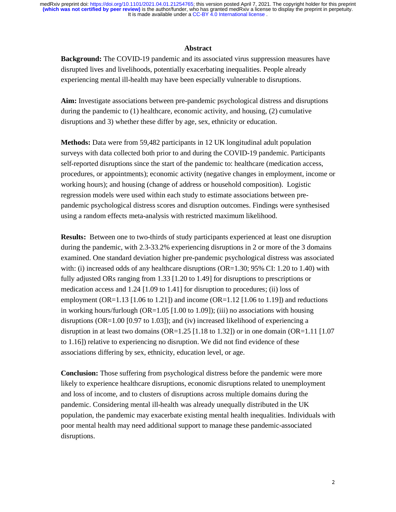#### **Abstract**

**Background:** The COVID-19 pandemic and its associated virus suppression measures have disrupted lives and livelihoods, potentially exacerbating inequalities. People already experiencing mental ill-health may have been especially vulnerable to disruptions.

**Aim:** Investigate associations between pre-pandemic psychological distress and disruptions during the pandemic to (1) healthcare, economic activity, and housing, (2) cumulative disruptions and 3) whether these differ by age, sex, ethnicity or education.

**Methods:** Data were from 59,482 participants in 12 UK longitudinal adult population surveys with data collected both prior to and during the COVID-19 pandemic. Participants self-reported disruptions since the start of the pandemic to: healthcare (medication access, procedures, or appointments); economic activity (negative changes in employment, income or working hours); and housing (change of address or household composition). Logistic regression models were used within each study to estimate associations between prepandemic psychological distress scores and disruption outcomes. Findings were synthesised using a random effects meta-analysis with restricted maximum likelihood.

**Results:** Between one to two-thirds of study participants experienced at least one disruption during the pandemic, with 2.3-33.2% experiencing disruptions in 2 or more of the 3 domains examined. One standard deviation higher pre-pandemic psychological distress was associated with: (i) increased odds of any healthcare disruptions (OR=1.30; 95% CI: 1.20 to 1.40) with fully adjusted ORs ranging from 1.33 [1.20 to 1.49] for disruptions to prescriptions or medication access and 1.24 [1.09 to 1.41] for disruption to procedures; (ii) loss of employment (OR=1.13 [1.06 to 1.21]) and income (OR=1.12 [1.06 to 1.19]) and reductions in working hours/furlough  $OR=1.05$  [1.00 to 1.09]); (iii) no associations with housing disruptions (OR=1.00 [0.97 to 1.03]); and (iv) increased likelihood of experiencing a disruption in at least two domains (OR=1.25 [1.18 to 1.32]) or in one domain (OR=1.11 [1.07 to 1.16]) relative to experiencing no disruption. We did not find evidence of these associations differing by sex, ethnicity, education level, or age.

**Conclusion:** Those suffering from psychological distress before the pandemic were more likely to experience healthcare disruptions, economic disruptions related to unemployment and loss of income, and to clusters of disruptions across multiple domains during the pandemic. Considering mental ill-health was already unequally distributed in the UK population, the pandemic may exacerbate existing mental health inequalities. Individuals with poor mental health may need additional support to manage these pandemic-associated disruptions.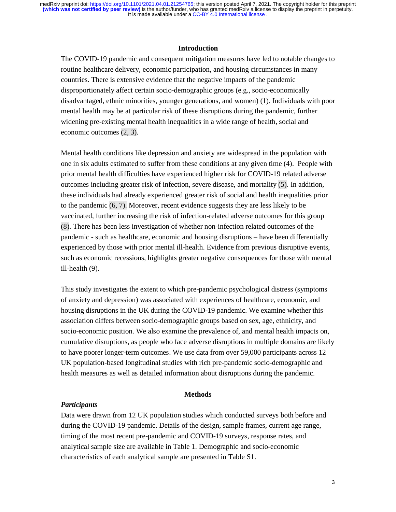## **Introduction**

The COVID-19 pandemic and consequent mitigation measures have led to notable changes to routine healthcare delivery, economic participation, and housing circumstances in many countries. There is extensive evidence that the negative impacts of the pandemic disproportionately affect certain socio-demographic groups (e.g., socio-economically disadvantaged, ethnic minorities, younger generations, and women) (1). Individuals with poor mental health may be at particular risk of these disruptions during the pandemic, further widening pre-existing mental health inequalities in a wide range of health, social and economic outcomes (2, 3).

Mental health conditions like depression and anxiety are widespread in the population with one in six adults estimated to suffer from these conditions at any given time (4). People with prior mental health difficulties have experienced higher risk for COVID-19 related adverse outcomes including greater risk of infection, severe disease, and mortality (5). In addition, these individuals had already experienced greater risk of social and health inequalities prior to the pandemic (6, 7). Moreover, recent evidence suggests they are less likely to be vaccinated, further increasing the risk of infection-related adverse outcomes for this group (8). There has been less investigation of whether non-infection related outcomes of the pandemic - such as healthcare, economic and housing disruptions – have been differentially experienced by those with prior mental ill-health. Evidence from previous disruptive events, such as economic recessions, highlights greater negative consequences for those with mental ill-health (9).

This study investigates the extent to which pre-pandemic psychological distress (symptoms of anxiety and depression) was associated with experiences of healthcare, economic, and housing disruptions in the UK during the COVID-19 pandemic. We examine whether this association differs between socio-demographic groups based on sex, age, ethnicity, and socio-economic position. We also examine the prevalence of, and mental health impacts on, cumulative disruptions, as people who face adverse disruptions in multiple domains are likely to have poorer longer-term outcomes. We use data from over 59,000 participants across 12 UK population-based longitudinal studies with rich pre-pandemic socio-demographic and health measures as well as detailed information about disruptions during the pandemic.

#### **Methods**

### *Participants*

Data were drawn from 12 UK population studies which conducted surveys both before and during the COVID-19 pandemic. Details of the design, sample frames, current age range, timing of the most recent pre-pandemic and COVID-19 surveys, response rates, and analytical sample size are available in Table 1. Demographic and socio-economic characteristics of each analytical sample are presented in Table S1.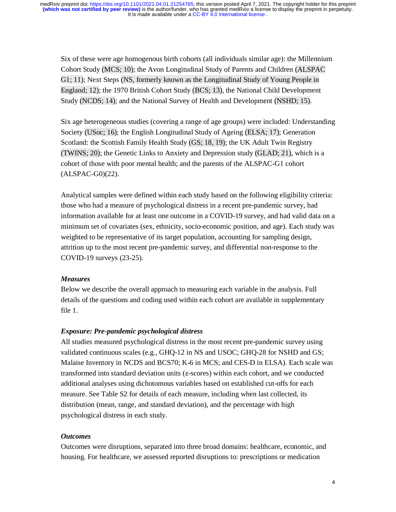Six of these were age homogenous birth cohorts (all individuals similar age): the Millennium Cohort Study (MCS; 10); the Avon Longitudinal Study of Parents and Children (ALSPAC G1; 11); Next Steps (NS, formerly known as the Longitudinal Study of Young People in England; 12); the 1970 British Cohort Study (BCS; 13), the National Child Development Study (NCDS; 14); and the National Survey of Health and Development (NSHD; 15).

Six age heterogeneous studies (covering a range of age groups) were included: Understanding Society (USoc; 16); the English Longitudinal Study of Ageing (ELSA; 17); Generation Scotland: the Scottish Family Health Study (GS; 18, 19); the UK Adult Twin Registry (TWINS; 20); the Genetic Links to Anxiety and Depression study (GLAD; 21), which is a cohort of those with poor mental health; and the parents of the ALSPAC-G1 cohort (ALSPAC-G0)(22).

Analytical samples were defined within each study based on the following eligibility criteria: those who had a measure of psychological distress in a recent pre-pandemic survey, had information available for at least one outcome in a COVID-19 survey, and had valid data on a minimum set of covariates (sex, ethnicity, socio-economic position, and age). Each study was weighted to be representative of its target population, accounting for sampling design, attrition up to the most recent pre-pandemic survey, and differential non-response to the COVID-19 surveys (23-25).

#### *Measures*

Below we describe the overall approach to measuring each variable in the analysis. Full details of the questions and coding used within each cohort are available in supplementary file 1.

#### *Exposure: Pre-pandemic psychological distress*

All studies measured psychological distress in the most recent pre-pandemic survey using validated continuous scales (e.g., GHQ-12 in NS and USOC; GHQ-28 for NSHD and GS; Malaise Inventory in NCDS and BCS70; K-6 in MCS; and CES-D in ELSA). Each scale was transformed into standard deviation units (z-scores) within each cohort, and we conducted additional analyses using dichotomous variables based on established cut-offs for each measure. See Table S2 for details of each measure, including when last collected, its distribution (mean, range, and standard deviation), and the percentage with high psychological distress in each study.

### *Outcomes*

Outcomes were disruptions, separated into three broad domains: healthcare, economic, and housing. For healthcare, we assessed reported disruptions to: prescriptions or medication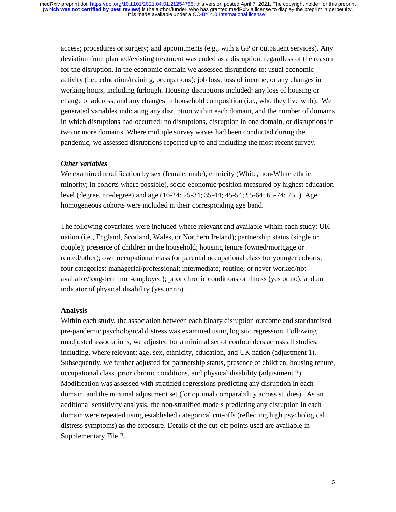access; procedures or surgery; and appointments (e.g., with a GP or outpatient services). Any deviation from planned/existing treatment was coded as a disruption, regardless of the reason for the disruption. In the economic domain we assessed disruptions to: usual economic activity (i.e., education/training, occupations); job loss; loss of income; or any changes in working hours, including furlough. Housing disruptions included: any loss of housing or change of address; and any changes in household composition (i.e., who they live with). We generated variables indicating any disruption within each domain, and the number of domains in which disruptions had occurred: no disruptions, disruption in one domain, or disruptions in two or more domains. Where multiple survey waves had been conducted during the pandemic, we assessed disruptions reported up to and including the most recent survey.

## *Other variables*

We examined modification by sex (female, male), ethnicity (White, non-White ethnic minority; in cohorts where possible), socio-economic position measured by highest education level (degree, no-degree) and age (16-24; 25-34; 35-44; 45-54; 55-64; 65-74; 75+). Age homogeneous cohorts were included in their corresponding age band.

The following covariates were included where relevant and available within each study: UK nation (i.e., England, Scotland, Wales, or Northern Ireland); partnership status (single or couple); presence of children in the household; housing tenure (owned/mortgage or rented/other); own occupational class (or parental occupational class for younger cohorts; four categories: managerial/professional; intermediate; routine; or never worked/not available/long-term non-employed); prior chronic conditions or illness (yes or no); and an indicator of physical disability (yes or no).

## **Analysis**

Within each study, the association between each binary disruption outcome and standardised pre-pandemic psychological distress was examined using logistic regression. Following unadjusted associations, we adjusted for a minimal set of confounders across all studies, including, where relevant: age, sex, ethnicity, education, and UK nation (adjustment 1). Subsequently, we further adjusted for partnership status, presence of children, housing tenure, occupational class, prior chronic conditions, and physical disability (adjustment 2). Modification was assessed with stratified regressions predicting any disruption in each domain, and the minimal adjustment set (for optimal comparability across studies). As an additional sensitivity analysis, the non-stratified models predicting any disruption in each domain were repeated using established categorical cut-offs (reflecting high psychological distress symptoms) as the exposure. Details of the cut-off points used are available in Supplementary File 2.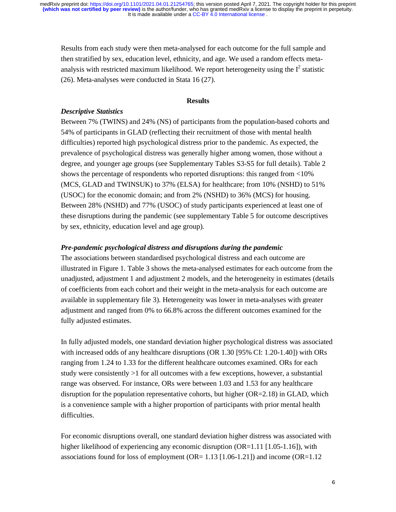Results from each study were then meta-analysed for each outcome for the full sample and then stratified by sex, education level, ethnicity, and age. We used a random effects metaanalysis with restricted maximum likelihood. We report heterogeneity using the  $I^2$  statistic (26). Meta-analyses were conducted in Stata 16 (27).

#### **Results**

### *Descriptive Statistics*

Between 7% (TWINS) and 24% (NS) of participants from the population-based cohorts and 54% of participants in GLAD (reflecting their recruitment of those with mental health difficulties) reported high psychological distress prior to the pandemic. As expected, the prevalence of psychological distress was generally higher among women, those without a degree, and younger age groups (see Supplementary Tables S3-S5 for full details). Table 2 shows the percentage of respondents who reported disruptions: this ranged from <10% (MCS, GLAD and TWINSUK) to 37% (ELSA) for healthcare; from 10% (NSHD) to 51% (USOC) for the economic domain; and from 2% (NSHD) to 36% (MCS) for housing. Between 28% (NSHD) and 77% (USOC) of study participants experienced at least one of these disruptions during the pandemic (see supplementary Table 5 for outcome descriptives by sex, ethnicity, education level and age group).

#### *Pre-pandemic psychological distress and disruptions during the pandemic*

The associations between standardised psychological distress and each outcome are illustrated in Figure 1. Table 3 shows the meta-analysed estimates for each outcome from the unadjusted, adjustment 1 and adjustment 2 models, and the heterogeneity in estimates (details of coefficients from each cohort and their weight in the meta-analysis for each outcome are available in supplementary file 3). Heterogeneity was lower in meta-analyses with greater adjustment and ranged from 0% to 66.8% across the different outcomes examined for the fully adjusted estimates.

In fully adjusted models, one standard deviation higher psychological distress was associated with increased odds of any healthcare disruptions (OR 1.30 [95% CI: 1.20-1.40]) with ORs ranging from 1.24 to 1.33 for the different healthcare outcomes examined. ORs for each study were consistently >1 for all outcomes with a few exceptions, however, a substantial range was observed. For instance, ORs were between 1.03 and 1.53 for any healthcare disruption for the population representative cohorts, but higher (OR=2.18) in GLAD, which is a convenience sample with a higher proportion of participants with prior mental health difficulties.

For economic disruptions overall, one standard deviation higher distress was associated with higher likelihood of experiencing any economic disruption (OR=1.11 [1.05-1.16]), with associations found for loss of employment  $(OR=1.13$  [1.06-1.21]) and income  $(OR=1.12$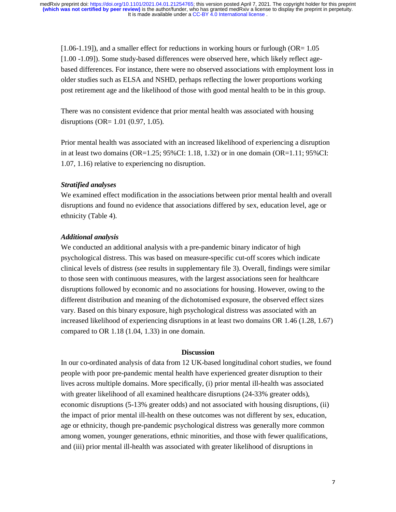[1.06-1.19]), and a smaller effect for reductions in working hours or furlough (OR= 1.05 [1.00 -1.09]). Some study-based differences were observed here, which likely reflect agebased differences. For instance, there were no observed associations with employment loss in older studies such as ELSA and NSHD, perhaps reflecting the lower proportions working post retirement age and the likelihood of those with good mental health to be in this group.

There was no consistent evidence that prior mental health was associated with housing disruptions (OR= 1.01 (0.97, 1.05).

Prior mental health was associated with an increased likelihood of experiencing a disruption in at least two domains  $(OR=1.25; 95\% CI: 1.18, 1.32)$  or in one domain  $(OR=1.11; 95\% CI: 1.18, 1.32)$ 1.07, 1.16) relative to experiencing no disruption.

## *Stratified analyses*

We examined effect modification in the associations between prior mental health and overall disruptions and found no evidence that associations differed by sex, education level, age or ethnicity (Table 4).

#### *Additional analysis*

We conducted an additional analysis with a pre-pandemic binary indicator of high psychological distress. This was based on measure-specific cut-off scores which indicate clinical levels of distress (see results in supplementary file 3). Overall, findings were similar to those seen with continuous measures, with the largest associations seen for healthcare disruptions followed by economic and no associations for housing. However, owing to the different distribution and meaning of the dichotomised exposure, the observed effect sizes vary. Based on this binary exposure, high psychological distress was associated with an increased likelihood of experiencing disruptions in at least two domains OR 1.46 (1.28, 1.67) compared to OR 1.18 (1.04, 1.33) in one domain.

## **Discussion**

In our co-ordinated analysis of data from 12 UK-based longitudinal cohort studies, we found people with poor pre-pandemic mental health have experienced greater disruption to their lives across multiple domains. More specifically, (i) prior mental ill-health was associated with greater likelihood of all examined healthcare disruptions (24-33% greater odds), economic disruptions (5-13% greater odds) and not associated with housing disruptions, (ii) the impact of prior mental ill-health on these outcomes was not different by sex, education, age or ethnicity, though pre-pandemic psychological distress was generally more common among women, younger generations, ethnic minorities, and those with fewer qualifications, and (iii) prior mental ill-health was associated with greater likelihood of disruptions in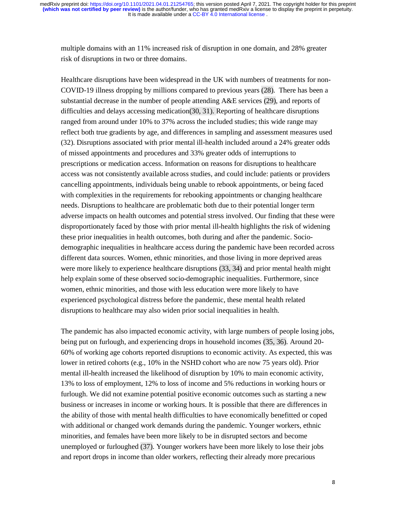multiple domains with an 11% increased risk of disruption in one domain, and 28% greater risk of disruptions in two or three domains.

Healthcare disruptions have been widespread in the UK with numbers of treatments for non-COVID-19 illness dropping by millions compared to previous years (28). There has been a substantial decrease in the number of people attending A&E services (29), and reports of difficulties and delays accessing medication(30, 31). Reporting of healthcare disruptions ranged from around under 10% to 37% across the included studies; this wide range may reflect both true gradients by age, and differences in sampling and assessment measures used (32). Disruptions associated with prior mental ill-health included around a 24% greater odds of missed appointments and procedures and 33% greater odds of interruptions to prescriptions or medication access. Information on reasons for disruptions to healthcare access was not consistently available across studies, and could include: patients or providers cancelling appointments, individuals being unable to rebook appointments, or being faced with complexities in the requirements for rebooking appointments or changing healthcare needs. Disruptions to healthcare are problematic both due to their potential longer term adverse impacts on health outcomes and potential stress involved. Our finding that these were disproportionately faced by those with prior mental ill-health highlights the risk of widening these prior inequalities in health outcomes, both during and after the pandemic. Sociodemographic inequalities in healthcare access during the pandemic have been recorded across different data sources. Women, ethnic minorities, and those living in more deprived areas were more likely to experience healthcare disruptions (33, 34) and prior mental health might help explain some of these observed socio-demographic inequalities. Furthermore, since women, ethnic minorities, and those with less education were more likely to have experienced psychological distress before the pandemic, these mental health related disruptions to healthcare may also widen prior social inequalities in health.

The pandemic has also impacted economic activity, with large numbers of people losing jobs, being put on furlough, and experiencing drops in household incomes (35, 36). Around 20- 60% of working age cohorts reported disruptions to economic activity. As expected, this was lower in retired cohorts (e.g., 10% in the NSHD cohort who are now 75 years old). Prior mental ill-health increased the likelihood of disruption by 10% to main economic activity, 13% to loss of employment, 12% to loss of income and 5% reductions in working hours or furlough. We did not examine potential positive economic outcomes such as starting a new business or increases in income or working hours. It is possible that there are differences in the ability of those with mental health difficulties to have economically benefitted or coped with additional or changed work demands during the pandemic. Younger workers, ethnic minorities, and females have been more likely to be in disrupted sectors and become unemployed or furloughed (37). Younger workers have been more likely to lose their jobs and report drops in income than older workers, reflecting their already more precarious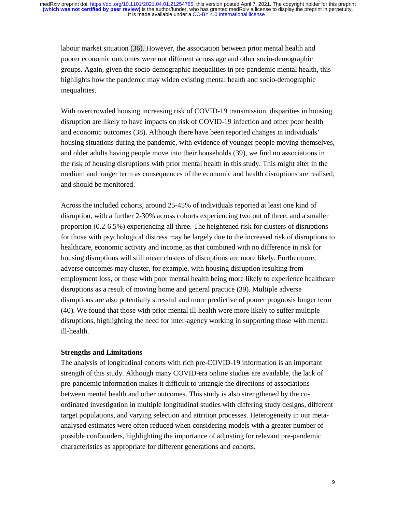labour market situation (36). However, the association between prior mental health and poorer economic outcomes were not different across age and other socio-demographic groups. Again, given the socio-demographic inequalities in pre-pandemic mental health, this highlights how the pandemic may widen existing mental health and socio-demographic inequalities.

With overcrowded housing increasing risk of COVID-19 transmission, disparities in housing disruption are likely to have impacts on risk of COVID-19 infection and other poor health and economic outcomes (38). Although there have been reported changes in individuals' housing situations during the pandemic, with evidence of younger people moving themselves, and older adults having people move into their households (39), we find no associations in the risk of housing disruptions with prior mental health in this study. This might alter in the medium and longer term as consequences of the economic and health disruptions are realised, and should be monitored.

Across the included cohorts, around 25-45% of individuals reported at least one kind of disruption, with a further 2-30% across cohorts experiencing two out of three, and a smaller proportion (0.2-6.5%) experiencing all three. The heightened risk for clusters of disruptions for those with psychological distress may be largely due to the increased risk of disruptions to healthcare, economic activity and income, as that combined with no difference in risk for housing disruptions will still mean clusters of disruptions are more likely. Furthermore, adverse outcomes may cluster, for example, with housing disruption resulting from employment loss, or those with poor mental health being more likely to experience healthcare disruptions as a result of moving home and general practice (39). Multiple adverse disruptions are also potentially stressful and more predictive of poorer prognosis longer term (40). We found that those with prior mental ill-health were more likely to suffer multiple disruptions, highlighting the need for inter-agency working in supporting those with mental ill-health.

## **Strengths and Limitations**

The analysis of longitudinal cohorts with rich pre-COVID-19 information is an important strength of this study. Although many COVID-era online studies are available, the lack of pre-pandemic information makes it difficult to untangle the directions of associations between mental health and other outcomes. This study is also strengthened by the coordinated investigation in multiple longitudinal studies with differing study designs, different target populations, and varying selection and attrition processes. Heterogeneity in our metaanalysed estimates were often reduced when considering models with a greater number of possible confounders, highlighting the importance of adjusting for relevant pre-pandemic characteristics as appropriate for different generations and cohorts.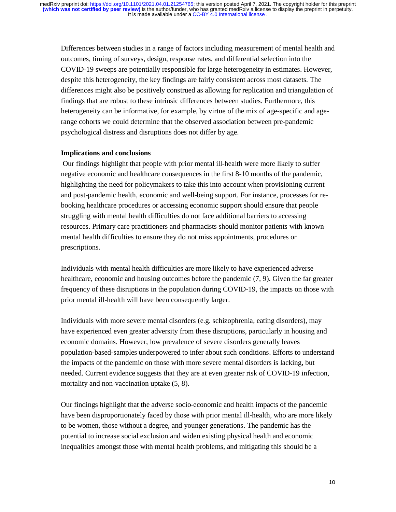Differences between studies in a range of factors including measurement of mental health and outcomes, timing of surveys, design, response rates, and differential selection into the COVID-19 sweeps are potentially responsible for large heterogeneity in estimates. However, despite this heterogeneity, the key findings are fairly consistent across most datasets. The differences might also be positively construed as allowing for replication and triangulation of findings that are robust to these intrinsic differences between studies. Furthermore, this heterogeneity can be informative, for example, by virtue of the mix of age-specific and agerange cohorts we could determine that the observed association between pre-pandemic psychological distress and disruptions does not differ by age.

## **Implications and conclusions**

 Our findings highlight that people with prior mental ill-health were more likely to suffer negative economic and healthcare consequences in the first 8-10 months of the pandemic, highlighting the need for policymakers to take this into account when provisioning current and post-pandemic health, economic and well-being support. For instance, processes for rebooking healthcare procedures or accessing economic support should ensure that people struggling with mental health difficulties do not face additional barriers to accessing resources. Primary care practitioners and pharmacists should monitor patients with known mental health difficulties to ensure they do not miss appointments, procedures or prescriptions.

Individuals with mental health difficulties are more likely to have experienced adverse healthcare, economic and housing outcomes before the pandemic (7, 9). Given the far greater frequency of these disruptions in the population during COVID-19, the impacts on those with prior mental ill-health will have been consequently larger.

Individuals with more severe mental disorders (e.g. schizophrenia, eating disorders), may have experienced even greater adversity from these disruptions, particularly in housing and economic domains. However, low prevalence of severe disorders generally leaves population-based-samples underpowered to infer about such conditions. Efforts to understand the impacts of the pandemic on those with more severe mental disorders is lacking, but needed. Current evidence suggests that they are at even greater risk of COVID-19 infection, mortality and non-vaccination uptake (5, 8).

Our findings highlight that the adverse socio-economic and health impacts of the pandemic have been disproportionately faced by those with prior mental ill-health, who are more likely to be women, those without a degree, and younger generations. The pandemic has the potential to increase social exclusion and widen existing physical health and economic inequalities amongst those with mental health problems, and mitigating this should be a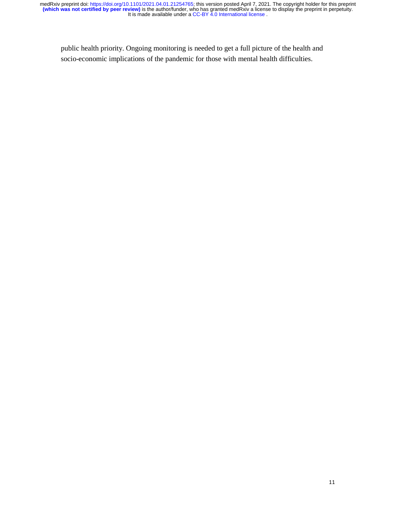public health priority. Ongoing monitoring is needed to get a full picture of the health and socio-economic implications of the pandemic for those with mental health difficulties.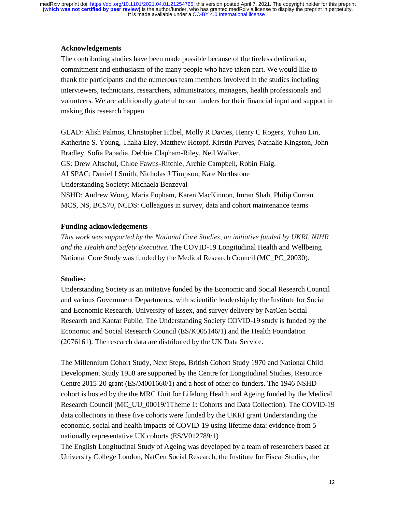## **Acknowledgements**

The contributing studies have been made possible because of the tireless dedication, commitment and enthusiasm of the many people who have taken part. We would like to thank the participants and the numerous team members involved in the studies including interviewers, technicians, researchers, administrators, managers, health professionals and volunteers. We are additionally grateful to our funders for their financial input and support in making this research happen.

GLAD: Alish Palmos, Christopher Hübel, Molly R Davies, Henry C Rogers, Yuhao Lin, Katherine S. Young, Thalia Eley, Matthew Hotopf, Kirstin Purves, Nathalie Kingston, John Bradley, Sofia Papadia, Debbie Clapham-Riley, Neil Walker. GS: Drew Altschul, Chloe Fawns-Ritchie, Archie Campbell, Robin Flaig. ALSPAC: Daniel J Smith, Nicholas J Timpson, Kate Northstone Understanding Society: Michaela Benzeval NSHD: Andrew Wong, Maria Popham, Karen MacKinnon, Imran Shah, Philip Curran MCS, NS, BCS70, NCDS: Colleagues in survey, data and cohort maintenance teams

## **Funding acknowledgements**

*This work was supported by the National Core Studies, an initiative funded by UKRI, NIHR and the Health and Safety Executive.* The COVID-19 Longitudinal Health and Wellbeing National Core Study was funded by the Medical Research Council (MC\_PC\_20030).

### **Studies:**

Understanding Society is an initiative funded by the Economic and Social Research Council and various Government Departments, with scientific leadership by the Institute for Social and Economic Research, University of Essex, and survey delivery by NatCen Social Research and Kantar Public. The Understanding Society COVID-19 study is funded by the Economic and Social Research Council (ES/K005146/1) and the Health Foundation (2076161). The research data are distributed by the UK Data Service.

The Millennium Cohort Study, Next Steps, British Cohort Study 1970 and National Child Development Study 1958 are supported by the Centre for Longitudinal Studies, Resource Centre 2015-20 grant (ES/M001660/1) and a host of other co-funders. The 1946 NSHD cohort is hosted by the the MRC Unit for Lifelong Health and Ageing funded by the Medical Research Council (MC\_UU\_00019/1Theme 1: Cohorts and Data Collection). The COVID-19 data collections in these five cohorts were funded by the UKRI grant Understanding the economic, social and health impacts of COVID-19 using lifetime data: evidence from 5 nationally representative UK cohorts (ES/V012789/1)

The English Longitudinal Study of Ageing was developed by a team of researchers based at University College London, NatCen Social Research, the Institute for Fiscal Studies, the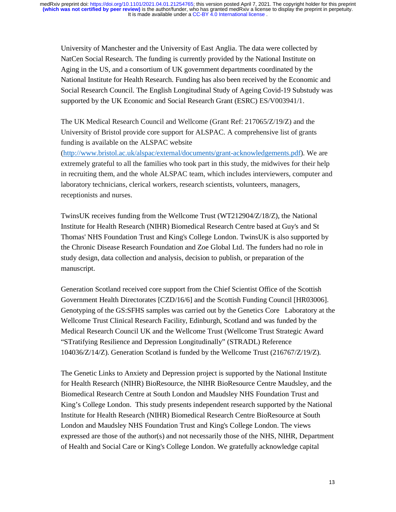University of Manchester and the University of East Anglia. The data were collected by NatCen Social Research. The funding is currently provided by the National Institute on Aging in the US, and a consortium of UK government departments coordinated by the National Institute for Health Research. Funding has also been received by the Economic and Social Research Council. The English Longitudinal Study of Ageing Covid-19 Substudy was supported by the UK Economic and Social Research Grant (ESRC) ES/V003941/1.

The UK Medical Research Council and Wellcome (Grant Ref: 217065/Z/19/Z) and the University of Bristol provide core support for ALSPAC. A comprehensive list of grants funding is available on the ALSPAC website

(http://www.bristol.ac.uk/alspac/external/documents/grant-acknowledgements.pdf). We are extremely grateful to all the families who took part in this study, the midwives for their help in recruiting them, and the whole ALSPAC team, which includes interviewers, computer and laboratory technicians, clerical workers, research scientists, volunteers, managers, receptionists and nurses.

TwinsUK receives funding from the Wellcome Trust (WT212904/Z/18/Z), the National Institute for Health Research (NIHR) Biomedical Research Centre based at Guy's and St Thomas' NHS Foundation Trust and King's College London. TwinsUK is also supported by the Chronic Disease Research Foundation and Zoe Global Ltd. The funders had no role in study design, data collection and analysis, decision to publish, or preparation of the manuscript.

Generation Scotland received core support from the Chief Scientist Office of the Scottish Government Health Directorates [CZD/16/6] and the Scottish Funding Council [HR03006]. Genotyping of the GS:SFHS samples was carried out by the Genetics Core Laboratory at the Wellcome Trust Clinical Research Facility, Edinburgh, Scotland and was funded by the Medical Research Council UK and the Wellcome Trust (Wellcome Trust Strategic Award "STratifying Resilience and Depression Longitudinally" (STRADL) Reference 104036/Z/14/Z). Generation Scotland is funded by the Wellcome Trust (216767/Z/19/Z).

The Genetic Links to Anxiety and Depression project is supported by the National Institute for Health Research (NIHR) BioResource, the NIHR BioResource Centre Maudsley, and the Biomedical Research Centre at South London and Maudsley NHS Foundation Trust and King's College London. This study presents independent research supported by the National Institute for Health Research (NIHR) Biomedical Research Centre BioResource at South London and Maudsley NHS Foundation Trust and King's College London. The views expressed are those of the author(s) and not necessarily those of the NHS, NIHR, Department of Health and Social Care or King's College London. We gratefully acknowledge capital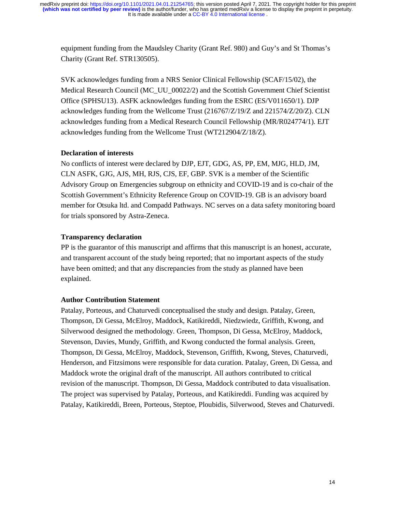equipment funding from the Maudsley Charity (Grant Ref. 980) and Guy's and St Thomas's Charity (Grant Ref. STR130505).

SVK acknowledges funding from a NRS Senior Clinical Fellowship (SCAF/15/02), the Medical Research Council (MC\_UU\_00022/2) and the Scottish Government Chief Scientist Office (SPHSU13). ASFK acknowledges funding from the ESRC (ES/V011650/1). DJP acknowledges funding from the Wellcome Trust (216767/Z/19/Z and 221574/Z/20/Z). CLN acknowledges funding from a Medical Research Council Fellowship (MR/R024774/1). EJT acknowledges funding from the Wellcome Trust (WT212904/Z/18/Z).

## **Declaration of interests**

No conflicts of interest were declared by DJP, EJT, GDG, AS, PP, EM, MJG, HLD, JM, CLN ASFK, GJG, AJS, MH, RJS, CJS, EF, GBP. SVK is a member of the Scientific Advisory Group on Emergencies subgroup on ethnicity and COVID-19 and is co-chair of the Scottish Government's Ethnicity Reference Group on COVID-19. GB is an advisory board member for Otsuka ltd. and Compadd Pathways. NC serves on a data safety monitoring board for trials sponsored by Astra-Zeneca.

## **Transparency declaration**

PP is the guarantor of this manuscript and affirms that this manuscript is an honest, accurate, and transparent account of the study being reported; that no important aspects of the study have been omitted; and that any discrepancies from the study as planned have been explained.

#### **Author Contribution Statement**

Patalay, Porteous, and Chaturvedi conceptualised the study and design. Patalay, Green, Thompson, Di Gessa, McElroy, Maddock, Katikireddi, Niedzwiedz, Griffith, Kwong, and Silverwood designed the methodology. Green, Thompson, Di Gessa, McElroy, Maddock, Stevenson, Davies, Mundy, Griffith, and Kwong conducted the formal analysis. Green, Thompson, Di Gessa, McElroy, Maddock, Stevenson, Griffith, Kwong, Steves, Chaturvedi, Henderson, and Fitzsimons were responsible for data curation. Patalay, Green, Di Gessa, and Maddock wrote the original draft of the manuscript. All authors contributed to critical revision of the manuscript. Thompson, Di Gessa, Maddock contributed to data visualisation. The project was supervised by Patalay, Porteous, and Katikireddi. Funding was acquired by Patalay, Katikireddi, Breen, Porteous, Steptoe, Ploubidis, Silverwood, Steves and Chaturvedi.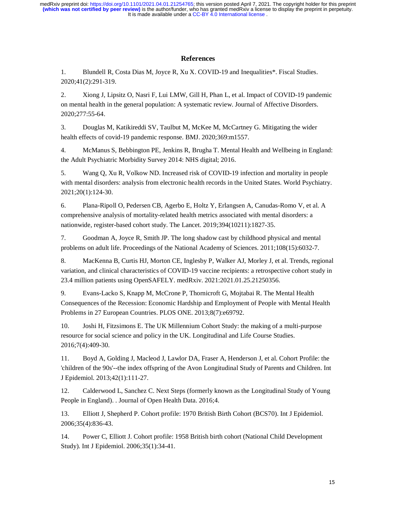### **References**

1. Blundell R, Costa Dias M, Joyce R, Xu X. COVID-19 and Inequalities\*. Fiscal Studies. 2020;41(2):291-319.

2. Xiong J, Lipsitz O, Nasri F, Lui LMW, Gill H, Phan L, et al. Impact of COVID-19 pandemic on mental health in the general population: A systematic review. Journal of Affective Disorders. 2020;277:55-64.

3. Douglas M, Katikireddi SV, Taulbut M, McKee M, McCartney G. Mitigating the wider health effects of covid-19 pandemic response. BMJ. 2020;369:m1557.

4. McManus S, Bebbington PE, Jenkins R, Brugha T. Mental Health and Wellbeing in England: the Adult Psychiatric Morbidity Survey 2014: NHS digital; 2016.

5. Wang Q, Xu R, Volkow ND. Increased risk of COVID-19 infection and mortality in people with mental disorders: analysis from electronic health records in the United States. World Psychiatry. 2021;20(1):124-30.

6. Plana-Ripoll O, Pedersen CB, Agerbo E, Holtz Y, Erlangsen A, Canudas-Romo V, et al. A comprehensive analysis of mortality-related health metrics associated with mental disorders: a nationwide, register-based cohort study. The Lancet. 2019;394(10211):1827-35.

7. Goodman A, Joyce R, Smith JP. The long shadow cast by childhood physical and mental problems on adult life. Proceedings of the National Academy of Sciences. 2011;108(15):6032-7.

8. MacKenna B, Curtis HJ, Morton CE, Inglesby P, Walker AJ, Morley J, et al. Trends, regional variation, and clinical characteristics of COVID-19 vaccine recipients: a retrospective cohort study in 23.4 million patients using OpenSAFELY. medRxiv. 2021:2021.01.25.21250356.

9. Evans-Lacko S, Knapp M, McCrone P, Thornicroft G, Mojtabai R. The Mental Health Consequences of the Recession: Economic Hardship and Employment of People with Mental Health Problems in 27 European Countries. PLOS ONE. 2013;8(7):e69792.

10. Joshi H, Fitzsimons E. The UK Millennium Cohort Study: the making of a multi-purpose resource for social science and policy in the UK. Longitudinal and Life Course Studies. 2016;7(4):409-30.

11. Boyd A, Golding J, Macleod J, Lawlor DA, Fraser A, Henderson J, et al. Cohort Profile: the 'children of the 90s'--the index offspring of the Avon Longitudinal Study of Parents and Children. Int J Epidemiol. 2013;42(1):111-27.

12. Calderwood L, Sanchez C. Next Steps (formerly known as the Longitudinal Study of Young People in England). . Journal of Open Health Data. 2016;4.

13. Elliott J, Shepherd P. Cohort profile: 1970 British Birth Cohort (BCS70). Int J Epidemiol. 2006;35(4):836-43.

14. Power C, Elliott J. Cohort profile: 1958 British birth cohort (National Child Development Study). Int J Epidemiol. 2006;35(1):34-41.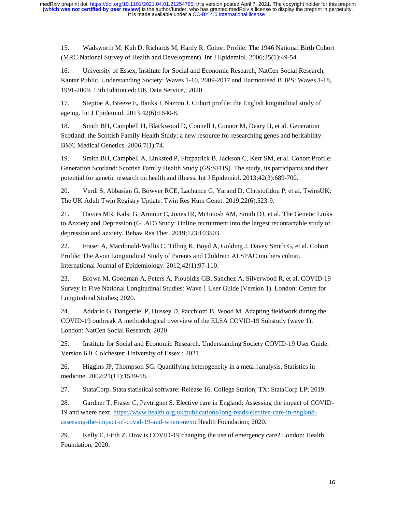15. Wadsworth M, Kuh D, Richards M, Hardy R. Cohort Profile: The 1946 National Birth Cohort (MRC National Survey of Health and Development). Int J Epidemiol. 2006;35(1):49-54.

16. University of Essex, Institute for Social and Economic Research, NatCen Social Research, Kantar Public. Understanding Society: Waves 1-10, 2009-2017 and Harmonised BHPS: Waves 1-18, 1991-2009. 13th Edition ed: UK Data Service,; 2020.

17. Steptoe A, Breeze E, Banks J, Nazroo J. Cohort profile: the English longitudinal study of ageing. Int J Epidemiol. 2013;42(6):1640-8.

18. Smith BH, Campbell H, Blackwood D, Connell J, Connor M, Deary IJ, et al. Generation Scotland: the Scottish Family Health Study; a new resource for researching genes and heritability. BMC Medical Genetics. 2006;7(1):74.

19. Smith BH, Campbell A, Linksted P, Fitzpatrick B, Jackson C, Kerr SM, et al. Cohort Profile: Generation Scotland: Scottish Family Health Study (GS:SFHS). The study, its participants and their potential for genetic research on health and illness. Int J Epidemiol. 2013;42(3):689-700.

20. Verdi S, Abbasian G, Bowyer RCE, Lachance G, Yarand D, Christofidou P, et al. TwinsUK: The UK Adult Twin Registry Update. Twin Res Hum Genet. 2019;22(6):523-9.

21. Davies MR, Kalsi G, Armour C, Jones IR, McIntosh AM, Smith DJ, et al. The Genetic Links to Anxiety and Depression (GLAD) Study: Online recruitment into the largest recontactable study of depression and anxiety. Behav Res Ther. 2019;123:103503.

22. Fraser A, Macdonald-Wallis C, Tilling K, Boyd A, Golding J, Davey Smith G, et al. Cohort Profile: The Avon Longitudinal Study of Parents and Children: ALSPAC mothers cohort. International Journal of Epidemiology. 2012;42(1):97-110.

23. Brown M, Goodman A, Peters A, Ploubidis GB, Sanchez A, Silverwood R, et al. COVID-19 Survey in Five National Longitudinal Studies: Wave 1 User Guide (Version 1). London: Centre for Longitudinal Studies; 2020.

24. Addario G, Dangerfiel P, Hussey D, Pacchiotti B, Wood M. Adapting fieldwork during the COVID-19 outbreak A methodological overview of the ELSA COVID-19 Substudy (wave 1). London: NatCen Social Research; 2020.

25. Institute for Social and Economic Research. Understanding Society COVID-19 User Guide. Version 6.0. Colchester: University of Essex.; 2021.

26. Higgins JP, Thompson SG. Quantifying heterogeneity in a meta $\Box$ analysis. Statistics in medicine. 2002;21(11):1539-58.

27. StataCorp. Stata statistical software: Release 16. College Station, TX: StataCorp LP; 2019.

28. Gardner T, Fraser C, Peytrignet S. Elective care in England: Assessing the impact of COVID-19 and where next. https://www.health.org.uk/publications/long-reads/elective-care-in-englandassessing-the-impact-of-covid-19-and-where-next: Health Foundation; 2020.

29. Kelly E, Firth Z. How is COVID-19 changing the use of emergency care? London: Health Foundation; 2020.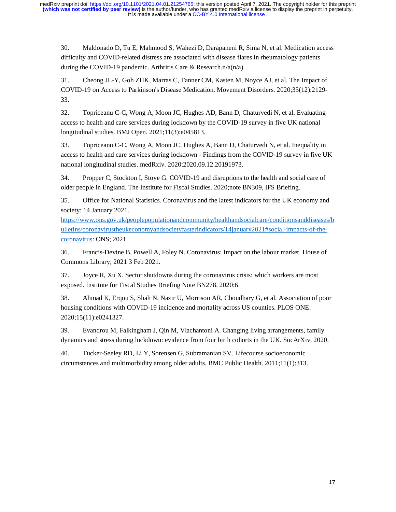30. Maldonado D, Tu E, Mahmood S, Wahezi D, Darapaneni R, Sima N, et al. Medication access difficulty and COVID-related distress are associated with disease flares in rheumatology patients during the COVID-19 pandemic. Arthritis Care & Research.n/a(n/a).

31. Cheong JL-Y, Goh ZHK, Marras C, Tanner CM, Kasten M, Noyce AJ, et al. The Impact of COVID-19 on Access to Parkinson's Disease Medication. Movement Disorders. 2020;35(12):2129- 33.

32. Topriceanu C-C, Wong A, Moon JC, Hughes AD, Bann D, Chaturvedi N, et al. Evaluating access to health and care services during lockdown by the COVID-19 survey in five UK national longitudinal studies. BMJ Open. 2021;11(3):e045813.

33. Topriceanu C-C, Wong A, Moon JC, Hughes A, Bann D, Chaturvedi N, et al. Inequality in access to health and care services during lockdown - Findings from the COVID-19 survey in five UK national longitudinal studies. medRxiv. 2020:2020.09.12.20191973.

34. Propper C, Stockton I, Stoye G. COVID-19 and disruptions to the health and social care of older people in England. The Institute for Fiscal Studies. 2020;note BN309, IFS Briefing.

35. Office for National Statistics. Coronavirus and the latest indicators for the UK economy and society: 14 January 2021.

https://www.ons.gov.uk/peoplepopulationandcommunity/healthandsocialcare/conditionsanddiseases/b ulletins/coronavirustheukeconomyandsocietyfasterindicators/14january2021#social-impacts-of-thecoronavirus: ONS; 2021.

36. Francis-Devine B, Powell A, Foley N. Coronavirus: Impact on the labour market. House of Commons Library; 2021 3 Feb 2021.

37. Joyce R, Xu X. Sector shutdowns during the coronavirus crisis: which workers are most exposed. Institute for Fiscal Studies Briefing Note BN278. 2020;6.

38. Ahmad K, Erqou S, Shah N, Nazir U, Morrison AR, Choudhary G, et al. Association of poor housing conditions with COVID-19 incidence and mortality across US counties. PLOS ONE. 2020;15(11):e0241327.

39. Evandrou M, Falkingham J, Qin M, Vlachantoni A. Changing living arrangements, family dynamics and stress during lockdown: evidence from four birth cohorts in the UK. SocArXiv. 2020.

40. Tucker-Seeley RD, Li Y, Sorensen G, Subramanian SV. Lifecourse socioeconomic circumstances and multimorbidity among older adults. BMC Public Health. 2011;11(1):313.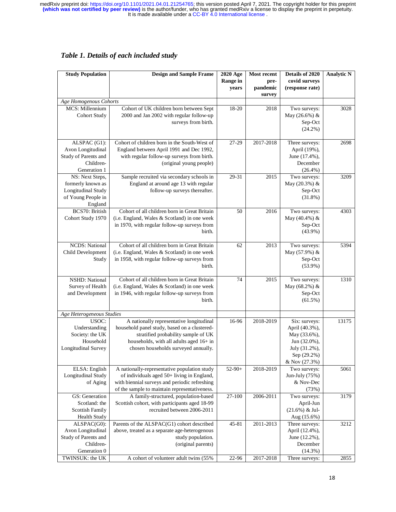| <b>Study Population</b>         | <b>Design and Sample Frame</b>                                                               | 2020 Age                 | Most recent      | Details of 2020                  | <b>Analytic N</b> |
|---------------------------------|----------------------------------------------------------------------------------------------|--------------------------|------------------|----------------------------------|-------------------|
|                                 |                                                                                              | <b>Range in</b><br>years | pre-<br>pandemic | covid surveys<br>(response rate) |                   |
|                                 |                                                                                              |                          | survey           |                                  |                   |
| Age Homogenous Cohorts          |                                                                                              |                          |                  |                                  |                   |
| MCS: Millennium                 | Cohort of UK children born between Sept                                                      | 18-20                    | 2018             | Two surveys:                     | 3028              |
| <b>Cohort Study</b>             | 2000 and Jan 2002 with regular follow-up                                                     |                          |                  | May (26.6%) &                    |                   |
|                                 | surveys from birth.                                                                          |                          |                  | Sep-Oct                          |                   |
|                                 |                                                                                              |                          |                  | $(24.2\%)$                       |                   |
| ALSPAC (G1):                    | Cohort of children born in the South-West of                                                 | 27-29                    | 2017-2018        | Three surveys:                   | 2698              |
| Avon Longitudinal               | England between April 1991 and Dec 1992,                                                     |                          |                  | April (19%),                     |                   |
| Study of Parents and            | with regular follow-up surveys from birth.                                                   |                          |                  | June (17.4%),                    |                   |
| Children-                       | (original young people)                                                                      |                          |                  | December                         |                   |
| Generation 1                    |                                                                                              |                          |                  | $(26.4\%)$                       |                   |
| NS: Next Steps,                 | Sample recruited via secondary schools in                                                    | $29 - 31$                | 2015             | Two surveys:                     | 3209              |
| formerly known as               | England at around age 13 with regular                                                        |                          |                  | May (20.3%) &                    |                   |
| Longitudinal Study              | follow-up surveys thereafter.                                                                |                          |                  | Sep-Oct                          |                   |
| of Young People in              |                                                                                              |                          |                  | (31.8%)                          |                   |
| England                         |                                                                                              |                          |                  |                                  |                   |
| BCS70: British                  | Cohort of all children born in Great Britain                                                 | 50                       | 2016             | Two surveys:                     | 4303              |
| Cohort Study 1970               | (i.e. England, Wales & Scotland) in one week<br>in 1970, with regular follow-up surveys from |                          |                  | May (40.4%) &<br>Sep-Oct         |                   |
|                                 | birth.                                                                                       |                          |                  | $(43.9\%)$                       |                   |
|                                 |                                                                                              |                          |                  |                                  |                   |
| <b>NCDS: National</b>           | Cohort of all children born in Great Britain                                                 | 62                       | 2013             | Two surveys:                     | 5394              |
| Child Development               | (i.e. England, Wales & Scotland) in one week                                                 |                          |                  | May (57.9%) &                    |                   |
| Study                           | in 1958, with regular follow-up surveys from                                                 |                          |                  | Sep-Oct                          |                   |
|                                 | birth.                                                                                       |                          |                  | $(53.9\%)$                       |                   |
|                                 |                                                                                              |                          |                  |                                  |                   |
| <b>NSHD:</b> National           | Cohort of all children born in Great Britain                                                 | 74                       | 2015             | Two surveys:                     | 1310              |
| Survey of Health                | (i.e. England, Wales & Scotland) in one week                                                 |                          |                  | May (68.2%) &                    |                   |
| and Development                 | in 1946, with regular follow-up surveys from<br>birth.                                       |                          |                  | Sep-Oct<br>$(61.5\%)$            |                   |
|                                 |                                                                                              |                          |                  |                                  |                   |
| Age Heterogeneous Studies       |                                                                                              |                          |                  |                                  |                   |
| USOC:                           | A nationally representative longitudinal                                                     | 16-96                    | 2018-2019        | Six: surveys:                    | 13175             |
| Understanding                   | household panel study, based on a clustered-                                                 |                          |                  | April (40.3%),                   |                   |
| Society: the UK                 | stratified probability sample of UK                                                          |                          |                  | May (33.6%),                     |                   |
| Household                       | households, with all adults aged 16+ in                                                      |                          |                  | Jun (32.0%),                     |                   |
| Longitudinal Survey             | chosen households surveyed annually.                                                         |                          |                  | July (31.2%),                    |                   |
|                                 |                                                                                              |                          |                  | Sep (29.2%)                      |                   |
| ELSA: English                   | A nationally-representative population study                                                 | $52-90+$                 | 2018-2019        | & Nov (27.3%)<br>Two surveys:    | 5061              |
| Longitudinal Study              | of individuals aged 50+ living in England,                                                   |                          |                  | Jun-July (75%)                   |                   |
| of Aging                        | with biennial surveys and periodic refreshing                                                |                          |                  | & Nov-Dec                        |                   |
|                                 | of the sample to maintain representativeness.                                                |                          |                  | (73%)                            |                   |
| GS: Generation                  | A family-structured, population-based                                                        | 27-100                   | 2006-2011        | Two surveys:                     | 3179              |
| Scotland: the                   | Scottish cohort, with participants aged 18-99                                                |                          |                  | April-Jun                        |                   |
| <b>Scottish Family</b>          | recruited between 2006-2011                                                                  |                          |                  | $(21.6\%) \&$ Jul-               |                   |
| <b>Health Study</b>             |                                                                                              |                          |                  | Aug (15.6%)                      |                   |
| ALSPAC(G0):                     | Parents of the ALSPAC(G1) cohort described                                                   | 45-81                    | 2011-2013        | Three surveys:                   | 3212              |
| Avon Longitudinal               | above, treated as a separate age-heterogenous                                                |                          |                  | April (12.4%),                   |                   |
| Study of Parents and            | study population.                                                                            |                          |                  | June (12.2%),                    |                   |
| Children-                       | (original parents)                                                                           |                          |                  | December                         |                   |
| Generation 0<br>TWINSUK: the UK | A cohort of volunteer adult twins (55%                                                       | 22-96                    | 2017-2018        | (14.3%)<br>Three surveys:        | 2855              |
|                                 |                                                                                              |                          |                  |                                  |                   |

# *Table 1. Details of each included study*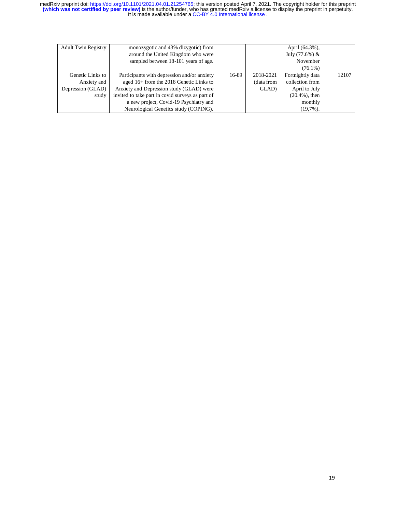| around the United Kingdom who were   |                                                                                                                                                                                                                                                                           |            |                   |       |
|--------------------------------------|---------------------------------------------------------------------------------------------------------------------------------------------------------------------------------------------------------------------------------------------------------------------------|------------|-------------------|-------|
|                                      |                                                                                                                                                                                                                                                                           |            | July $(77.6%) &$  |       |
| sampled between 18-101 years of age. |                                                                                                                                                                                                                                                                           |            | November          |       |
|                                      |                                                                                                                                                                                                                                                                           |            | $(76.1\%)$        |       |
|                                      | 16-89                                                                                                                                                                                                                                                                     | 2018-2021  | Fortnightly data  | 12107 |
|                                      |                                                                                                                                                                                                                                                                           | (data from | collection from   |       |
|                                      |                                                                                                                                                                                                                                                                           | GLAD)      | April to July     |       |
|                                      |                                                                                                                                                                                                                                                                           |            | $(20.4\%)$ , then |       |
|                                      |                                                                                                                                                                                                                                                                           |            | monthly           |       |
|                                      |                                                                                                                                                                                                                                                                           |            | $(19,7\%)$ .      |       |
|                                      | Participants with depression and/or anxiety<br>aged 16+ from the 2018 Genetic Links to<br>Anxiety and Depression study (GLAD) were<br>invited to take part in covid surveys as part of<br>a new project, Covid-19 Psychiatry and<br>Neurological Genetics study (COPING). |            |                   |       |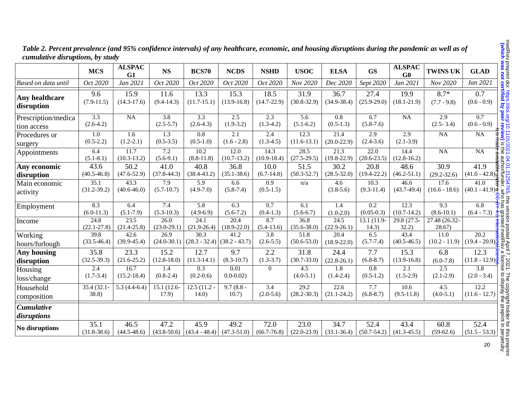|                                     | <b>MCS</b>                      | <b>ALSPAC</b><br>G1               | <b>NS</b>                         | <b>BCS70</b>                    | <b>NCDS</b>                       | <b>NSHD</b>                     | <b>USOC</b>                          | <b>ELSA</b>                     | <b>GS</b>                            | <b>ALSPAC</b><br>G0     | <b>TWINS UK</b>                   | <b>GLAD</b>                                                                                                                                                                                                                                                                                                   |
|-------------------------------------|---------------------------------|-----------------------------------|-----------------------------------|---------------------------------|-----------------------------------|---------------------------------|--------------------------------------|---------------------------------|--------------------------------------|-------------------------|-----------------------------------|---------------------------------------------------------------------------------------------------------------------------------------------------------------------------------------------------------------------------------------------------------------------------------------------------------------|
| Based on data until                 | Oct 2020                        | Jan 2021                          | Oct 2020                          | Oct 2020                        | Oct 2020                          | Oct 2020                        | Nov 2020                             | Dec 2020                        | Sept 2020                            | Jan 2021                | Nov 2020                          | Jan 2021                                                                                                                                                                                                                                                                                                      |
| <b>Any healthcare</b><br>disruption | 9.6<br>$(7.9-11.5)$             | 15.9<br>$(14.3-17.6)$             | 11.6<br>$(9.4 - 14.3)$            | 13.3<br>$(11.7-15.1)$           | 15.3<br>$(13.9 - 16.8)$           | 18.5<br>$(14.7 - 22.9)$         | 31.9<br>$(30.8 - 32.9)$              | 36.7<br>$(34.9 - 38.4)$         | 27.4<br>$(25.9 - 29.0)$              | 19.9<br>$(18.1 - 21.9)$ | $8.7*$<br>$(7.7 - 9.8)$           | 0.7<br>$(0.6 - 0.9)$                                                                                                                                                                                                                                                                                          |
| Prescription/medica<br>tion access  | $\overline{3.3}$<br>$(2.6-4.2)$ | NA                                | $\overline{3.8}$<br>$(2.5 - 5.7)$ | $\overline{3.3}$<br>$(2.6-4.3)$ | $\overline{2.5}$<br>$(1.9-3.2)$   | $\overline{2.3}$<br>$(1.3-4.2)$ | $\overline{5.6}$<br>$(5.1 - 6.2)$    | $\overline{0.8}$<br>$(0.5-1.3)$ | 6.7<br>$(5.8 - 7.6)$                 | NA                      | $\overline{2.9}$<br>$(2.5 - 3.4)$ | $\overline{0.7}$<br>$(0.6 - 0.9)$                                                                                                                                                                                                                                                                             |
| Procedures or<br>surgery            | $\overline{1.0}$<br>$(0.5-2.2)$ | $\overline{1.6}$<br>$(1.2 - 2.1)$ | $\overline{1.3}$<br>$(0.5 - 3.5)$ | $\overline{0.8}$<br>$(0.5-1.0)$ | $\overline{2.1}$<br>$(1.6 - 2.8)$ | $\overline{2.4}$<br>$(1.3-4.5)$ | 12.3<br>$(11.6-13.1)$                | 21.4<br>$(20.0 - 22.9)$         | $\overline{2.9}$<br>$(2.4 - 3.6)$    | 2.9<br>$(2.1 - 3.9)$    | NA                                | $\overline{NA}$                                                                                                                                                                                                                                                                                               |
| Appointments                        | 6.4<br>$(5.1 - 8.1)$            | 11.7<br>$(10.3-13.2)$             | 7.2<br>$(5.6-9.1)$                | 10.2<br>$(8.8-11.8)$            | 12.0<br>$(10.7 - 13.2)$           | 14.3<br>$(10.9 - 18.4)$         | 28.5<br>$(27.5-29.5)$                | 21.3<br>$(19.8 - 22.9)$         | $\overline{22.0}$<br>$(20.6 - 23.5)$ | 14.4<br>$(12.8-16.2)$   | NA                                | NA                                                                                                                                                                                                                                                                                                            |
| Any economic<br>disruption          | 43.6<br>$(40.5 - 46.8)$         | 50.2<br>$(47.6 - 52.9)$           | 41.0<br>$(37.8 - 44.3)$           | 40.8<br>$(38.4 - 43.2)$         | 36.8<br>$(35.1 - 38.6)$           | 10.0<br>$(6.7-14.8)$            | 51.5<br>$(50.3 - 52.7)$              | 30.2<br>$(28.5 - 32.0)$         | 20.8<br>$(19.4 - 22.2)$              | 48.6<br>$(46.2 - 51.1)$ | 30.9<br>$(29.2 - 32.6)$           | $\frac{41.9}{41.0}$<br>$\frac{99}{41.0}$<br>$\frac{41.9}{41.0}$<br>$\frac{99}{41.0}$<br>$\frac{101}{41.0}$<br>$\frac{101}{41.0}$<br>$\frac{101}{41.0}$<br>$\frac{101}{41.0}$                                                                                                                                  |
| Main economic<br>activity           | 35.1<br>$(31.2 - 39.2)$         | 43.3<br>$(40.6 - 46.0)$           | 7.9<br>$(5.7 - 10.7)$             | 5.9<br>$(4.9 - 7.0)$            | 6.6<br>$(5.8 - 7.4)$              | 0.9<br>$(0.5-1.5)$              | n/a                                  | 4.6<br>$(3.8-5.6)$              | 10.3<br>$(9.3-11.4)$                 | 46.6<br>$(43.7-49.4)$   | 17.6<br>$(16.6 - 18.6)$           | 41.0<br>$(40.1 - 41.9)$ $\frac{\alpha}{2} \leq \frac{\alpha}{20}$                                                                                                                                                                                                                                             |
| Employment                          | 8.3<br>$(6.0-11.3)$             | 6.4<br>$(5.1 - 7.9)$              | 7.4<br>$(5.3 - 10.3)$             | 5.8<br>$(4.9-6.9)$              | 6.3<br>$(5.6 - 7.2)$              | 0.7<br>$(0.4 - 1.3)$            | 6.1<br>$(5.6-6.7)$                   | 1.4<br>$(1.0-2.0)$              | $\overline{0.2}$<br>$(0.05-0.3)$     | 12.3<br>$(10.7-14.2)$   | 9.3<br>$(8.6 - 10.1)$             |                                                                                                                                                                                                                                                                                                               |
| Income                              | 24.8<br>$(22.1 - 27.8)$         | 23.5<br>$(21.4 - 25.8)$           | 26.0<br>$(23.0-29.1)$             | 24.1<br>$(21.9 - 26.4)$         | 20.4<br>$(18.9 - 22.0)$           | 8.7<br>$(5.4-13.6)$             | 36.8<br>$(35.6 - 38.0)$              | 24.5<br>$(22.9 - 26.1)$         | 13.1 (11.9-<br>14.3)                 | 29.8 (27.5-<br>32.2)    | 27.48 (26.32-<br>28.67)           |                                                                                                                                                                                                                                                                                                               |
| Working<br>hours/furlough           | 39.8<br>$(33.5 - 46.4)$         | 42.6<br>$(39.9 - 45.4)$           | 26.9<br>$(24.0 - 30.1)$           | 30.3<br>$(28.3 - 32.4)$         | 41.2<br>$(38.2 - 43.7)$           | 3.8<br>$(2.6 - 5.5)$            | 51.8<br>$(50.6 - 53.0)$              | 20.4<br>$(18.9 - 22.0)$         | 6.5<br>$(5.7 - 7.4)$                 | 43.4<br>$(40.5 - 46.5)$ | 11.0<br>$(10.2 - 11.9)$           | $6.8 \tarrow 6.8$<br>$6.8 \tarrow 6.8$<br>$(6.4 - 7.3) \tarrow 6.8$<br>$(6.4 - 7.3) \tarrow 6.8$<br>$(6.4 - 2.3) \tarrow 6.8$<br>$(6.4 - 2.0) \tarrow 6.8$<br>$(10.4 - 2.0.9) \tarrow 6.8$<br>$(10.4 - 2.0.9) \tarrow 6.8$<br>$(10.4 - 2.0.9) \tarrow 6.8$<br>$(10.4 - 2.0.9) \tarrow 6.8$<br>$(10.4 - 2.0.9$ |
| <b>Any housing</b><br>disruption    | 35.8<br>$(32.5 - 39.3)$         | 23.3<br>$(21.6 - 25.2)$           | 15.2<br>$(12.8 - 18.0)$           | 12.7<br>$(11.3-14.1)$           | 9.7<br>$(8.3 - 10.7)$             | 2.2<br>$(1.3-3.7)$              | 31.8<br>$(30.7 - 33.0)$              | 24.4<br>$(22.8 - 26.1)$         | 7.7<br>$(6.8 - 8.7)$                 | 15.3<br>$(13.9-16.8)$   | 6.8<br>$(6.0 - 7.8)$              | 12.3<br>$\frac{(11.8 - 12.9)\frac{3}{6}}{3.8}$                                                                                                                                                                                                                                                                |
| Housing<br>loss/change              | 2.4<br>$(1.7-3.4)$              | 16.7<br>$(15.2 - 18.4)$           | 1.4<br>$(0.8-2.4)$                | 0.3<br>$(0.2 - 0.6)$            | 0.01<br>$0.0 - 0.02$              | $\boldsymbol{0}$                | 4.5<br>$(4.0-5.1)$                   | 1.8<br>$(1.4-2.4)$              | 0.8<br>$(0.5-1.2)$                   | 2.1<br>$(1.5-2.9)$      | 2.5<br>$(2.1 - 2.9)$              | $(2.0 - 3.4)$                                                                                                                                                                                                                                                                                                 |
| Household<br>composition            | $35.4(32.1 -$<br>38.8)          | $5.3(4.4-6.4)$                    | $15.1(12.6-$<br>17.9)             | $12.5(11.2 -$<br>(14.0)         | $9.7(8.8 -$<br>10.7)              | $\overline{3.4}$<br>$(2.0-5.6)$ | $\overline{29.2}$<br>$(28.2 - 30.3)$ | 22.6<br>$(21.1 - 24.2)$         | 7.7<br>$(6.8 - 8.7)$                 | 10.6<br>$(9.5-11.8)$    | 4.5<br>$(4.0-5.1)$                | 12.2<br>$(11.6 - 12.7)$                                                                                                                                                                                                                                                                                       |
| <b>Cumulative</b><br>disruptions    |                                 |                                   |                                   |                                 |                                   |                                 |                                      |                                 |                                      |                         |                                   |                                                                                                                                                                                                                                                                                                               |
| No disruptions                      | 35.1<br>$(31.8 - 38.6)$         | 46.5<br>$(44.5 - 48.6)$           | 47.2<br>$(43.8 - 50.6)$           | 45.9<br>$(43.4 - 48.4)$         | 49.2<br>$(47.3 - 51.0)$           | 72.0<br>$(66.7 - 76.8)$         | 23.0<br>$(22.0 - 23.9)$              | 34.7<br>$(33.1 - 36.4)$         | 52.4<br>$(50.7 - 54.2)$              | 43.4<br>$(41.3 - 45.5)$ | 60.8<br>$(59-62.6)$               | 52.4<br>$(51.5 - 53.3)$                                                                                                                                                                                                                                                                                       |

*Table 2. Percent prevalence (and 95% confidence intervals) of any healthcare, economic, and housing disruptions during the pandemic as well as of cumulative disruptions, by study*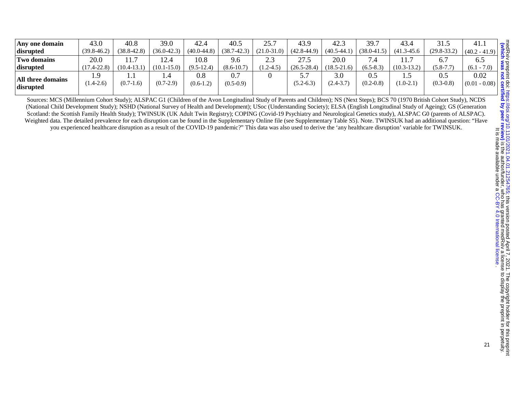| Any one domain                 | 43.0                  | 40.8            | 39.0               | 42.4               | 40.5            | 75.7<br>. ب     | 43.9               | 42.3               | 39.7                 | 43.4               | 31.5                 | 41.1                           |
|--------------------------------|-----------------------|-----------------|--------------------|--------------------|-----------------|-----------------|--------------------|--------------------|----------------------|--------------------|----------------------|--------------------------------|
| disrupted                      | $(39.8 - 46.2)$       | $(38.8 - 42.8)$ | $(36.0-42.3)$      | $(40.0 - 44.8)$    | $(38.7 - 42.3)$ | $(21.0 - 31.0)$ | $(42.8 - 44.9)$    | $(40.5 - 44.1)$    | $(38.0 - 41.5)$      | $(41.3 - 45.6)$    | $(29.8 - 33.2)$      | $(40.2 - 41.9)$                |
| <b>Two domains</b>             | 20.0                  |                 | 2.4                | 10.8               | 9.6             | 2.3             | 27.5               | 20.0               |                      | 11.                |                      | 6.5                            |
| disrupted                      | $(17.4 - 22.8)$       | $(10.4 - 13.1)$ | $(10.1 - 15.0)$    | $(9.5 - 12.4)$     | $(8.6 - 10.7)$  | $1.2 - 4.5$     | $(26.5 - 28.4)$    | $(18.5 - 21.6)$    | $(6.5 - 8.3)$        | $(10.3-13.2)$      | $(5.8 - 7.7)$        | $(6.1 - 7.0)$                  |
| All three domains<br>disrupted | . .9<br>$(1.4 - 2.6)$ | $(0.7-1.6)$     | 1.4<br>$(0.7-2.9)$ | 0.8<br>$(0.6-1.2)$ | $(0.5-0.9)$     |                 | ຸ<br>$(5.2 - 6.3)$ | 3.0<br>$2.4 - 3.7$ | 0.5<br>$(0.2 - 0.8)$ | L.J<br>$(1.0-2.1)$ | 0.5<br>$(0.3 - 0.8)$ | 0.02<br>$1 - 0.08$ )<br>(0.01) |

Sources: MCS (Millennium Cohort Study); ALSPAC G1 (Children of the Avon Longitudinal Study of Parents and Children); NS (Next Steps); BCS 70 (1970 British Cohort Study), NCDS (National Child Development Study); NSHD (National Survey of Health and Development); USoc (Understanding Society); ELSA (English Longitudinal Study of Ageing); GS (Generation Scotland: the Scottish Family Health Study); TWINSUK (UK Adult Twin Registry); COPING (Covid-19 Psychiatry and Neurological Genetics study), ALSPAC G0 (parents of ALSPAC). Weighted data. The detailed prevalence for each disruption can be found in the Supplementary Online file (see Supplementary Table S5). Note. TWINSUK had an additional question: "Have you experienced healthcare disruption as a result of the COVID-19 pandemic?" This data was also used to derive the 'any healthcare disruption' variable for TWINSUK.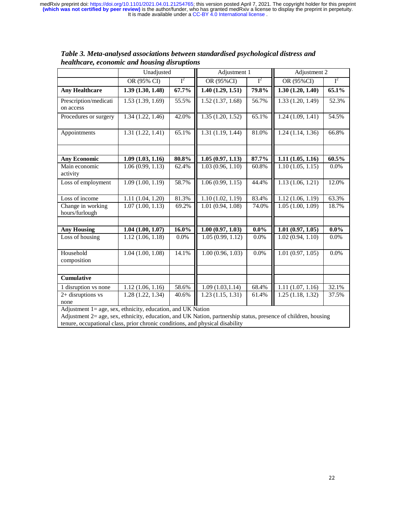|                                                                                                                                                                                                    | Unadjusted       |          | Adjustment 1     |         | Adjustment 2     |         |
|----------------------------------------------------------------------------------------------------------------------------------------------------------------------------------------------------|------------------|----------|------------------|---------|------------------|---------|
|                                                                                                                                                                                                    | OR (95% CI)      | $I^2$    | OR (95%CI)       | $I^2$   | OR (95%CI)       | $I^2$   |
| <b>Any Healthcare</b>                                                                                                                                                                              | 1.39(1.30, 1.48) | 67.7%    | 1.40(1.29, 1.51) | 79.8%   | 1.30(1.20, 1.40) | 65.1%   |
| Prescription/medicati<br>on access                                                                                                                                                                 | 1.53(1.39, 1.69) | 55.5%    | 1.52(1.37, 1.68) | 56.7%   | 1.33(1.20, 1.49) | 52.3%   |
| Procedures or surgery                                                                                                                                                                              | 1.34(1.22, 1.46) | 42.0%    | 1.35(1.20, 1.52) | 65.1%   | 1.24(1.09, 1.41) | 54.5%   |
| Appointments                                                                                                                                                                                       | 1.31(1.22, 1.41) | 65.1%    | 1.31(1.19, 1.44) | 81.0%   | 1.24(1.14, 1.36) | 66.8%   |
|                                                                                                                                                                                                    |                  |          |                  |         |                  |         |
| <b>Any Economic</b>                                                                                                                                                                                | 1.09(1.03, 1.16) | 80.8%    | 1.05(0.97, 1.13) | 87.7%   | 1.11(1.05, 1.16) | 60.5%   |
| Main economic<br>activity                                                                                                                                                                          | 1.06(0.99, 1.13) | 62.4%    | 1.03(0.96, 1.10) | 60.8%   | 1.10(1.05, 1.15) | 0.0%    |
| Loss of employment                                                                                                                                                                                 | 1.09(1.00, 1.19) | 58.7%    | 1.06(0.99, 1.15) | 44.4%   | 1.13(1.06, 1.21) | 12.0%   |
| $\overline{\text{Loss}}$ of income                                                                                                                                                                 | 1.11(1.04, 1.20) | 81.3%    | 1.10(1.02, 1.19) | 83.4%   | 1.12(1.06, 1.19) | 63.3%   |
| Change in working<br>hours/furlough                                                                                                                                                                | 1.07(1.00, 1.13) | 69.2%    | 1.01(0.94, 1.08) | 74.0%   | 1.05(1.00, 1.09) | 18.7%   |
|                                                                                                                                                                                                    |                  |          |                  |         |                  |         |
| <b>Any Housing</b>                                                                                                                                                                                 | 1.04(1.00, 1.07) | $16.0\%$ | 1.00(0.97, 1.03) | $0.0\%$ | 1.01(0.97, 1.05) | $0.0\%$ |
| Loss of housing                                                                                                                                                                                    | 1.12(1.06, 1.18) | 0.0%     | 1.05(0.99, 1.12) | 0.0%    | 1.02(0.94, 1.10) | 0.0%    |
| Household<br>composition                                                                                                                                                                           | 1.04(1.00, 1.08) | 14.1%    | 1.00(0.96, 1.03) | 0.0%    | 1.01(0.97, 1.05) | 0.0%    |
|                                                                                                                                                                                                    |                  |          |                  |         |                  |         |
| <b>Cumulative</b>                                                                                                                                                                                  |                  |          |                  |         |                  |         |
| 1 disruption vs none                                                                                                                                                                               | 1.12(1.06, 1.16) | 58.6%    | 1.09(1.03, 1.14) | 68.4%   | 1.11(1.07, 1.16) | 32.1%   |
| 2+ disruptions vs                                                                                                                                                                                  | 1.28(1.22, 1.34) | 40.6%    | 1.23(1.15, 1.31) | 61.4%   | 1.25(1.18, 1.32) | 37.5%   |
| none                                                                                                                                                                                               |                  |          |                  |         |                  |         |
| Adjustment 1= age, sex, ethnicity, education, and UK Nation<br>$\Lambda$ diustment $2$ – age sex ethnicity education and $I$ $\overline{I}$ Nation partnership status presence of children bousing |                  |          |                  |         |                  |         |

*Table 3. Meta-analysed associations between standardised psychological distress and healthcare, economic and housing disruptions* 

Adjustment 2= age, sex, ethnicity, education, and UK Nation, partnership status, presence of children, housing tenure, occupational class, prior chronic conditions, and physical disability

I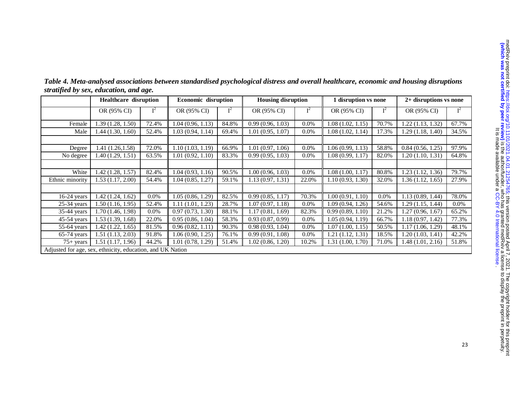| <b>Vulnich was not centil</b><br>tical hard not not a signal of the series of the series of the series of the series of the series of the series of the series of the series of the series of the series of the series of the series of the series of the serie<br>Į<br>į.<br>$\ddot{\phantom{0}}$<br>-- יים היה המונחתו אויי | $\ddot{\phantom{a}}$<br>Ì<br>יינו המינו המודר המודר המודר המודר המינו המודר המינו<br><b>NATIONAL PROPERTY AND INCOME.</b><br>֧֦֧֦֧֦֧֦֧֘֒֒֝֝֝<br>֧֧֪֧֪֪֚֝֝֝֝<br>֧֪֝֝<br>7<br>7<br>7<br><br>$\frac{1}{2}$ |
|-------------------------------------------------------------------------------------------------------------------------------------------------------------------------------------------------------------------------------------------------------------------------------------------------------------------------------|---------------------------------------------------------------------------------------------------------------------------------------------------------------------------------------------------------|
|                                                                                                                                                                                                                                                                                                                               | $\frac{1}{2}$ , $\frac{1}{2}$ , $\frac{1}{2}$ , $\frac{1}{2}$ , $\frac{1}{2}$ , $\frac{1}{2}$ , $\frac{1}{2}$                                                                                           |
|                                                                                                                                                                                                                                                                                                                               | ;;;;;;;                                                                                                                                                                                                 |

|                 | <b>Healthcare</b> disruption                               |         | <b>Economic disruption</b> |       | <b>Housing disruption</b> |         | 1 disruption vs none |       | 2+ disruptions vs none |         |
|-----------------|------------------------------------------------------------|---------|----------------------------|-------|---------------------------|---------|----------------------|-------|------------------------|---------|
|                 | OR (95% CI)                                                | $I^2$   | OR (95% CI)                | $I^2$ | OR (95% CI)               | $I^2$   | OR (95% CI)          | $I^2$ | OR (95% CI)            |         |
| Female          | 1.39(1.28, 1.50)                                           | 72.4%   | 1.04(0.96, 1.13)           | 84.8% | 0.99(0.96, 1.03)          | $0.0\%$ | 1.08(1.02, 1.15)     | 70.7% | 1.22(1.13, 1.32)       | 67.7%   |
| Male            | 1.44(1.30, 1.60)                                           | 52.4%   | 1.03(0.94, 1.14)           | 69.4% | 1.01(0.95, 1.07)          | $0.0\%$ | 1.08(1.02, 1.14)     | 17.3% | 1.29(1.18, 1.40)       | 34.5%   |
|                 |                                                            |         |                            |       |                           |         |                      |       |                        |         |
| Degree          | 1.41(1.26, 1.58)                                           | 72.0%   | 1.10(1.03, 1.19)           | 66.9% | 1.01(0.97, 1.06)          | $0.0\%$ | 1.06(0.99, 1.13)     | 58.8% | 0.84(0.56, 1.25)       | 97.9%   |
| No degree       | 1.40(1.29, 1.51)                                           | 63.5%   | 1.01(0.92, 1.10)           | 83.3% | 0.99(0.95, 1.03)          | $0.0\%$ | 1.08(0.99, 1.17)     | 82.0% | 1.20(1.10, 1.31)       | 64.8%   |
|                 |                                                            |         |                            |       |                           |         |                      |       |                        |         |
| White           | 1.42(1.28, 1.57)                                           | 82.4%   | 1.04(0.93, 1.16)           | 90.5% | 1.00(0.96, 1.03)          | $0.0\%$ | 1.08(1.00, 1.17)     | 80.8% | 1.23(1.12, 1.36)       | 79.7%   |
| Ethnic minority | 1.53(1.17, 2.00)                                           | 54.4%   | 1.04(0.85, 1.27)           | 59.1% | 1.13(0.97, 1.31)          | 22.0%   | 1.10(0.93, 1.30)     | 32.0% | 1.36(1.12, 1.65)       | 27.9%   |
|                 |                                                            |         |                            |       |                           |         |                      |       |                        |         |
| $16-24$ years   | 1.42(1.24, 1.62)                                           | $0.0\%$ | 1.05(0.86, 1.29)           | 82.5% | 0.99(0.85, 1.17)          | 70.3%   | 1.00(0.91, 1.10)     | 0.0%  | 1.13(0.89, 1.44)       | 78.0%   |
| $25-34$ years   | 1.50(1.16, 1.95)                                           | 52.4%   | 1.11(1.01, 1.23)           | 28.7% | 1.07(0.97, 1.18)          | $0.0\%$ | 1.09(0.94, 1.26)     | 54.6% | 1.29(1.15, 1.44)       | $0.0\%$ |
| $35-44$ years   | 1.70(1.46, 1.98)                                           | $0.0\%$ | 0.97(0.73, 1.30)           | 88.1% | 1.17(0.81, 1.69)          | 82.3%   | 0.99(0.89, 1.10)     | 21.2% | 1.27(0.96, 1.67)       | 65.2%   |
| $45-54$ years   | 1.53(1.39, 1.68)                                           | 22.0%   | 0.95(0.86, 1.04)           | 58.3% | 0.93(0.87, 0.99)          | $0.0\%$ | 1.05(0.94, 1.19)     | 66.7% | 1.18(0.97, 1.42)       | 77.3%   |
| 55-64 years     | 1.42(1.22, 1.65)                                           | 81.5%   | 0.96(0.82, 1.11)           | 90.3% | 0.98(0.93, 1.04)          | $0.0\%$ | 1.07(1.00, 1.15)     | 50.5% | 1.17(1.06, 1.29)       | 48.1%   |
| $65-74$ years   | 1.51(1.13, 2.03)                                           | 91.8%   | 1.06(0.90, 1.25)           | 76.1% | 0.99(0.91, 1.08)          | $0.0\%$ | 1.21(1.12, 1.31)     | 18.5% | 1.20(1.03, 1.41)       | 42.2%   |
| $75+ years$     | 1.51(1.17, 1.96)                                           | 44.2%   | 1.01(0.78, 1.29)           | 51.4% | 1.02(0.86, 1.20)          | 10.2%   | 1.31(1.00, 1.70)     | 71.0% | 1.48(1.01, 2.16)       | 51.8%   |
|                 | Adjusted for age, sex, ethnicity, education, and UK Nation |         |                            |       |                           |         |                      |       |                        |         |

*Table 4. Meta-analysed associations between standardised psychological distress and overall healthcare, economic and housing disruptions stratified by sex, education, and age.* 

23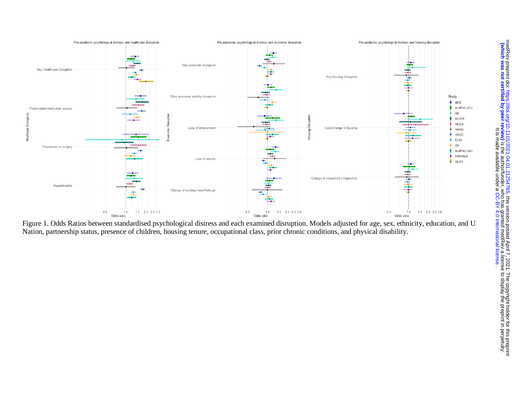

Figure 1. Odds Ratios between standardised psychological distress and each examined disruption. Models adjusted for age, sex, ethnicity, education, and U Nation, partnership status, presence of children, housing tenure, occupational class, prior chronic conditions, and physical disability.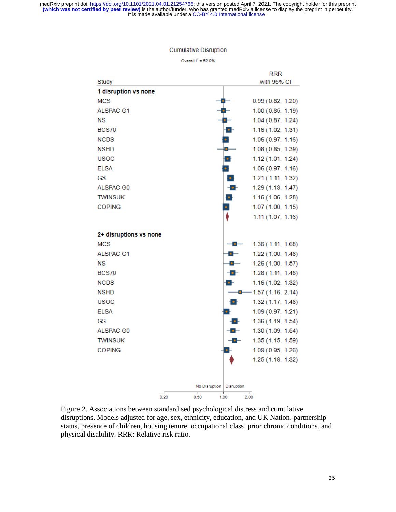#### **Cumulative Disruption**

Overall  $1^2$  = 52.9%

|                        |      |               | <b>RRR</b>                          |
|------------------------|------|---------------|-------------------------------------|
| Study                  |      |               | with 95% CI                         |
| 1 disruption vs none   |      |               |                                     |
| <b>MCS</b>             |      |               | 0.99(0.82, 1.20)                    |
| <b>ALSPAC G1</b>       |      |               | 1.00(0.85, 1.19)                    |
| <b>NS</b>              |      |               | 1.04(0.87, 1.24)                    |
| <b>BCS70</b>           |      | ÷             | 1.16(1.02, 1.31)                    |
| <b>NCDS</b>            |      | $\bullet$     | 1.06(0.97, 1.16)                    |
| <b>NSHD</b>            |      | $\bullet$     | 1.08 (0.85, 1.39)                   |
| <b>USOC</b>            |      | ъ.            | 1.12(1.01, 1.24)                    |
| <b>ELSA</b>            |      | $\bullet$     | 1.06(0.97, 1.16)                    |
| GS                     |      | $\bullet$     | 1.21 (1.11, 1.32)                   |
| ALSPAC G0              |      |               | $ \bullet$ $-$<br>1.29 (1.13, 1.47) |
| <b>TWINSUK</b>         |      | o.            | 1.16(1.06, 1.28)                    |
| <b>COPING</b>          |      | ٠             | 1.07(1.00, 1.15)                    |
|                        |      |               | 1.11 (1.07, 1.16)                   |
|                        |      |               |                                     |
| 2+ disruptions vs none |      |               |                                     |
| <b>MCS</b>             |      |               | 1.36 (1.11, 1.68)<br>$ \bullet$ $-$ |
| <b>ALSPAC G1</b>       |      |               | 1.22 (1.00, 1.48)<br><b>a</b>       |
| NS                     |      |               | 1.26(1.00, 1.57)<br>$\bullet$ $-$   |
| <b>BCS70</b>           |      |               | -0-<br>1.28 (1.11, 1.48)            |
| <b>NCDS</b>            |      | ъ.            | 1.16 (1.02, 1.32)                   |
| <b>NSHD</b>            |      |               | $-1.57(1.16, 2.14)$<br>$\bullet$    |
| <b>USOC</b>            |      |               | ъ.<br>1.32 (1.17, 1.48)             |
| <b>ELSA</b>            |      |               | 1.09(0.97, 1.21)                    |
| GS                     |      |               | -6-<br>1.36 (1.19, 1.54)            |
| ALSPAC G0              |      |               | -0<br>1.30 (1.09, 1.54)             |
| <b>TWINSUK</b>         |      |               | 1.35(1.15, 1.59)<br>-0-             |
| <b>COPING</b>          |      | о-            | 1.09 (0.95, 1.26)                   |
|                        |      |               | 1.25 (1.18, 1.32)                   |
|                        |      |               |                                     |
|                        |      |               |                                     |
|                        |      | No Disruption | Disruption                          |
|                        | 0.20 | 0.50<br>1.00  | 2.00                                |

Figure 2. Associations between standardised psychological distress and cumulative disruptions. Models adjusted for age, sex, ethnicity, education, and UK Nation, partnership status, presence of children, housing tenure, occupational class, prior chronic conditions, and physical disability. RRR: Relative risk ratio. Î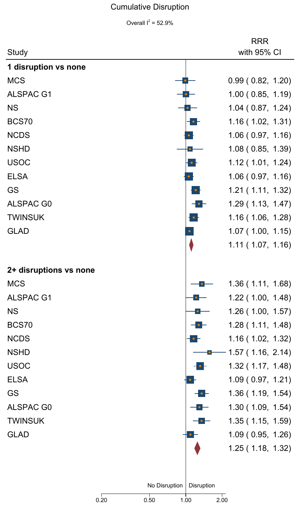# Cumulative Disruption

Overall  $I^2$  = 52.9%  $= 52.9\%$ 

|                        |                                                       | <b>RRR</b>       |
|------------------------|-------------------------------------------------------|------------------|
| Study                  |                                                       | with 95% CI      |
| 1 disruption vs none   |                                                       |                  |
| <b>MCS</b>             |                                                       | 0.99(0.82, 1.20) |
| ALSPAC G1              |                                                       | 1.00(0.85, 1.19) |
| <b>NS</b>              |                                                       | 1.04(0.87, 1.24) |
| BCS70                  | - - -                                                 | 1.16(1.02, 1.31) |
| <b>NCDS</b>            |                                                       | 1.06(0.97, 1.16) |
| <b>NSHD</b>            | $\bullet -$                                           | 1.08(0.85, 1.39) |
| <b>USOC</b>            | $\bullet$ -                                           | 1.12(1.01, 1.24) |
| <b>ELSA</b>            |                                                       | 1.06(0.97, 1.16) |
| GS                     | $\bullet$ :                                           | 1.21(1.11, 1.32) |
| ALSPAC G0              | $ \bullet$ $-$                                        | 1.29(1.13, 1.47) |
| <b>TWINSUK</b>         |                                                       | 1.16(1.06, 1.28) |
| <b>GLAD</b>            |                                                       | 1.07(1.00, 1.15) |
|                        |                                                       | 1.11(1.07, 1.16) |
|                        |                                                       |                  |
| 2+ disruptions vs none |                                                       |                  |
| <b>MCS</b>             |                                                       | 1.36(1.11, 1.68) |
| <b>ALSPAC G1</b>       | $\bullet$ $\overline{\phantom{a}}$                    | 1.22(1.00, 1.48) |
| <b>NS</b>              | $\overline{\phantom{a}}$                              | 1.26(1.00, 1.57) |
| BCS70                  | $- \bullet -$                                         | 1.28(1.11, 1.48) |
| <b>NCDS</b>            |                                                       | 1.16(1.02, 1.32) |
| <b>NSHD</b>            |                                                       | 1.57(1.16, 2.14) |
| <b>USOC</b>            | $\bullet$                                             | 1.32(1.17, 1.48) |
| <b>ELSA</b>            |                                                       | 1.09(0.97, 1.21) |
| GS                     | $ \bullet$ $-$                                        | 1.36(1.19, 1.54) |
| ALSPAC G0              |                                                       | 1.30(1.09, 1.54) |
| <b>TWINSUK</b>         | $\overline{\phantom{a}}\bullet\overline{\phantom{a}}$ | 1.35(1.15, 1.59) |
| <b>GLAD</b>            |                                                       | 1.09(0.95, 1.26) |
|                        |                                                       | 1.25(1.18, 1.32) |
|                        |                                                       |                  |
|                        |                                                       |                  |
|                        | No Disruption   Disruption                            |                  |
|                        | 0.20<br>0.50<br>1.00                                  | 2.00             |